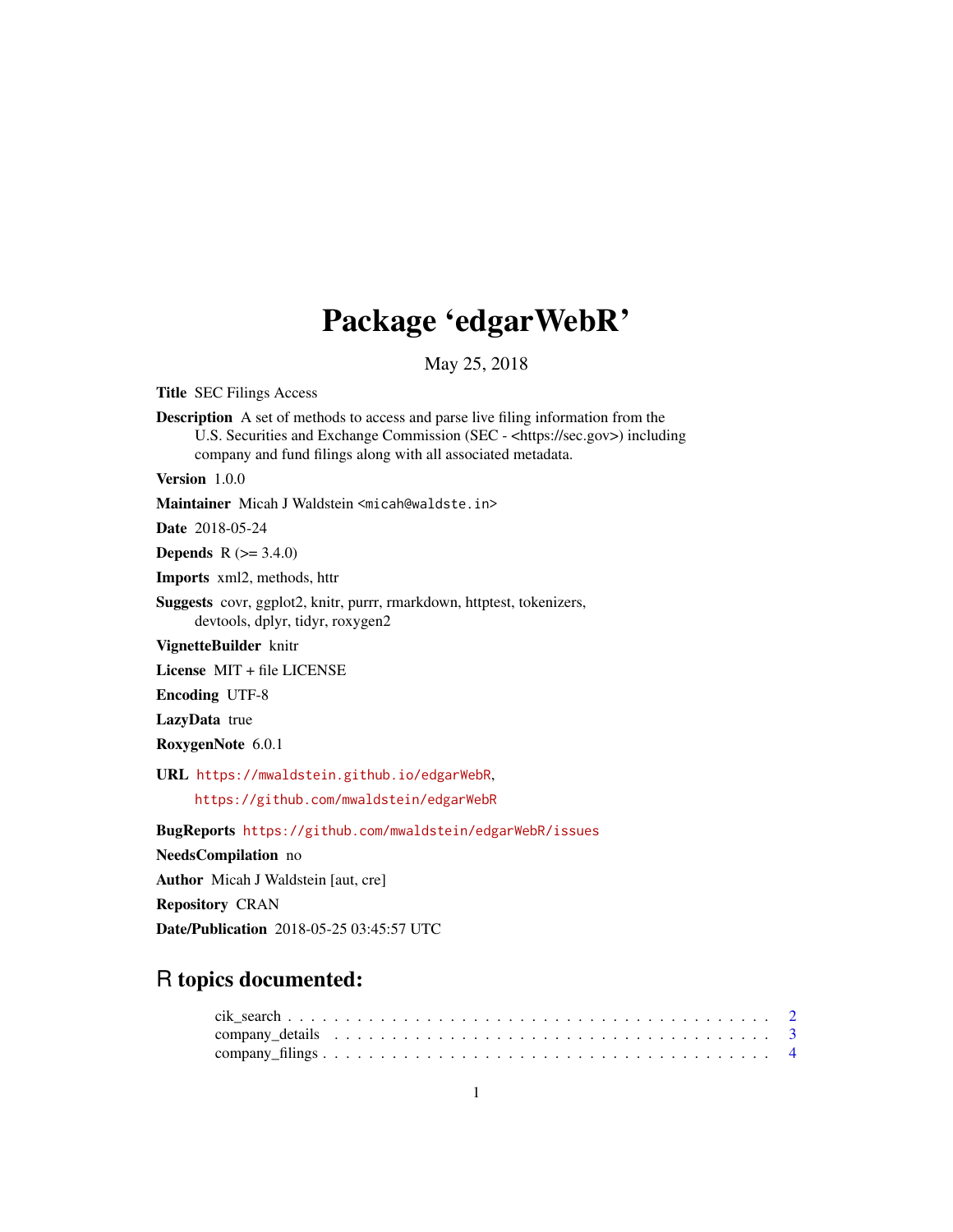## Package 'edgarWebR'

May 25, 2018

<span id="page-0-0"></span>Title SEC Filings Access

Description A set of methods to access and parse live filing information from the U.S. Securities and Exchange Commission (SEC - <https://sec.gov>) including company and fund filings along with all associated metadata.

Version 1.0.0

Maintainer Micah J Waldstein <micah@waldste.in>

Date 2018-05-24

**Depends** R  $(>= 3.4.0)$ 

Imports xml2, methods, httr

Suggests covr, ggplot2, knitr, purrr, rmarkdown, httptest, tokenizers, devtools, dplyr, tidyr, roxygen2

VignetteBuilder knitr

License MIT + file LICENSE

Encoding UTF-8

LazyData true

RoxygenNote 6.0.1

URL <https://mwaldstein.github.io/edgarWebR>,

<https://github.com/mwaldstein/edgarWebR>

BugReports <https://github.com/mwaldstein/edgarWebR/issues>

NeedsCompilation no

Author Micah J Waldstein [aut, cre]

Repository CRAN

Date/Publication 2018-05-25 03:45:57 UTC

## R topics documented: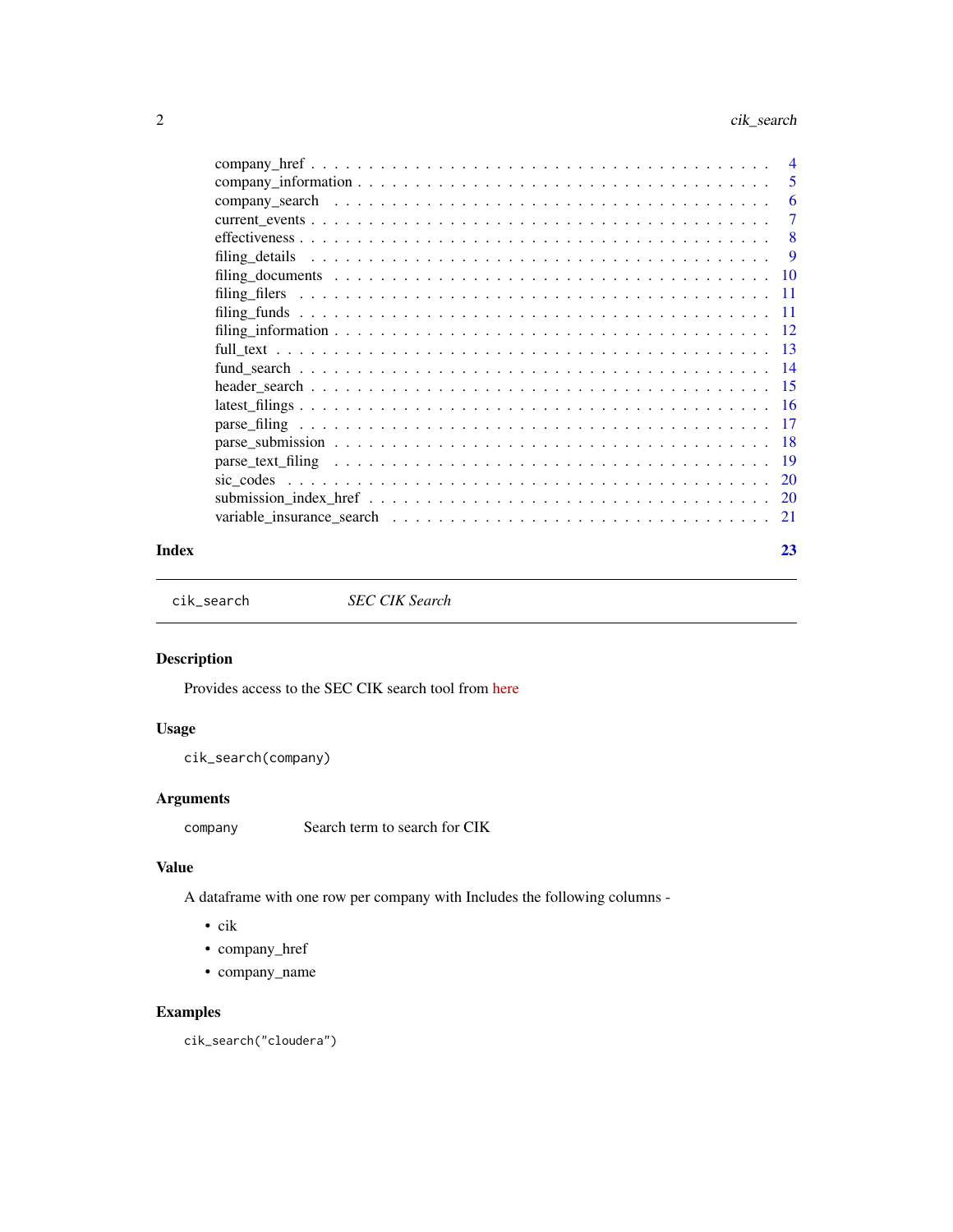<span id="page-1-0"></span>

| $\overline{4}$ |
|----------------|
| 5              |
| 6              |
| 7              |
| 8              |
| 9              |
|                |
|                |
|                |
|                |
|                |
|                |
|                |
|                |
|                |
| - 18           |
|                |
|                |
|                |
| - 21           |
|                |

#### **Index** [23](#page-22-0)

cik\_search *SEC CIK Search*

## Description

Provides access to the SEC CIK search tool from [here](https://www.sec.gov/edgar/searchedgar/cik.htm)

## Usage

```
cik_search(company)
```
## Arguments

company Search term to search for CIK

## Value

A dataframe with one row per company with Includes the following columns -

- cik
- company\_href
- company\_name

## Examples

cik\_search("cloudera")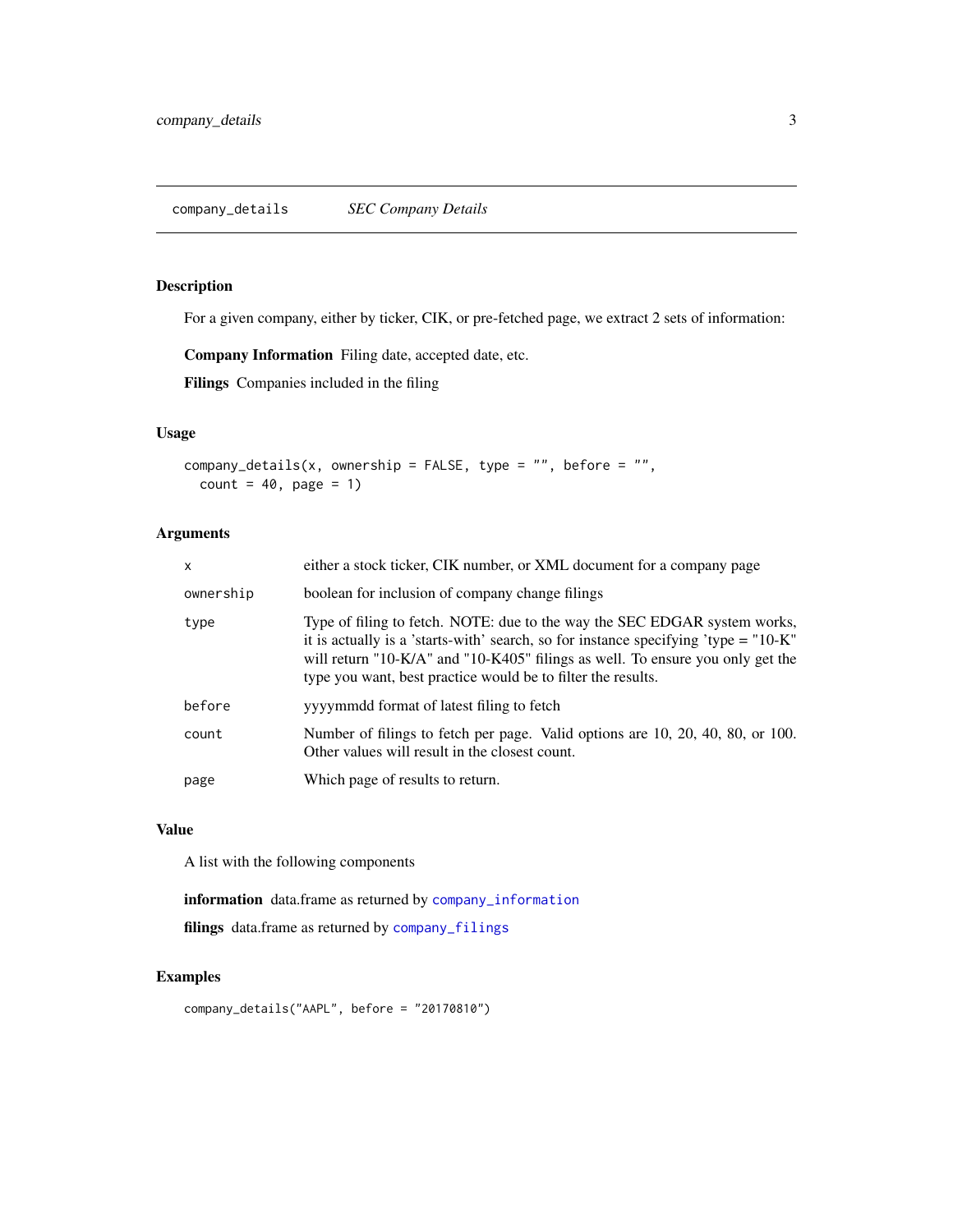#### <span id="page-2-0"></span>Description

For a given company, either by ticker, CIK, or pre-fetched page, we extract 2 sets of information:

Company Information Filing date, accepted date, etc.

Filings Companies included in the filing

#### Usage

```
company_details(x, ownership = FALSE, type = ", before = ",
  count = 40, page = 1)
```
## Arguments

| $\times$  | either a stock ticker, CIK number, or XML document for a company page                                                                                                                                                                                                                                                |
|-----------|----------------------------------------------------------------------------------------------------------------------------------------------------------------------------------------------------------------------------------------------------------------------------------------------------------------------|
| ownership | boolean for inclusion of company change filings                                                                                                                                                                                                                                                                      |
| type      | Type of filing to fetch. NOTE: due to the way the SEC EDGAR system works,<br>it is actually is a 'starts-with' search, so for instance specifying 'type = $"10-K"$<br>will return "10-K/A" and "10-K405" filings as well. To ensure you only get the<br>type you want, best practice would be to filter the results. |
| before    | yyyymmdd format of latest filing to fetch                                                                                                                                                                                                                                                                            |
| count     | Number of filings to fetch per page. Valid options are 10, 20, 40, 80, or 100.<br>Other values will result in the closest count.                                                                                                                                                                                     |
| page      | Which page of results to return.                                                                                                                                                                                                                                                                                     |

## Value

A list with the following components

information data.frame as returned by [company\\_information](#page-4-1)

filings data.frame as returned by [company\\_filings](#page-3-1)

#### Examples

company\_details("AAPL", before = "20170810")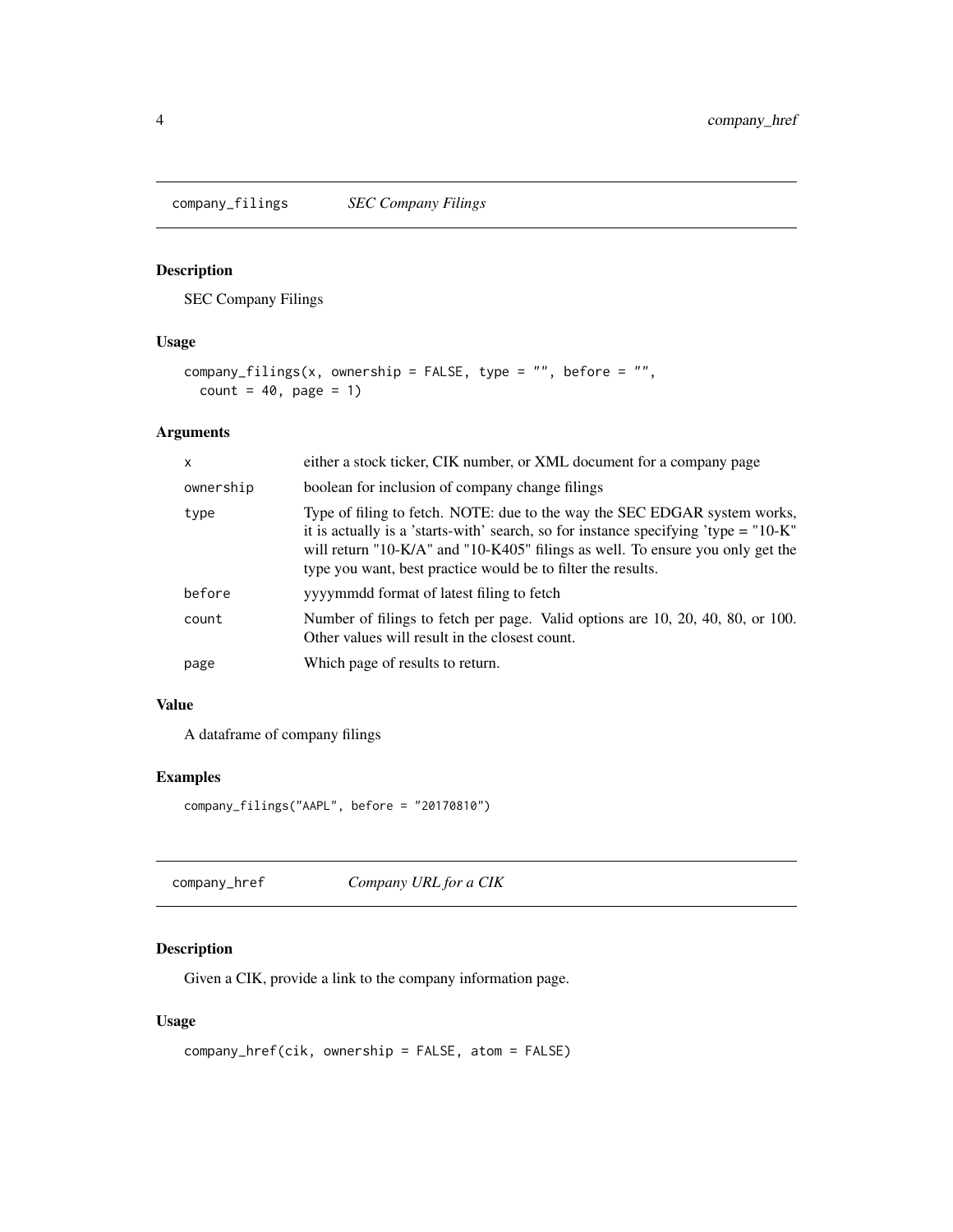<span id="page-3-1"></span><span id="page-3-0"></span>company\_filings *SEC Company Filings*

## Description

SEC Company Filings

## Usage

```
company_filings(x, ownership = FALSE, type = ", before = ",
 count = 40, page = 1)
```
## Arguments

| $\mathsf{x}$ | either a stock ticker, CIK number, or XML document for a company page                                                                                                                                                                                                                                                |
|--------------|----------------------------------------------------------------------------------------------------------------------------------------------------------------------------------------------------------------------------------------------------------------------------------------------------------------------|
| ownership    | boolean for inclusion of company change filings                                                                                                                                                                                                                                                                      |
| type         | Type of filing to fetch. NOTE: due to the way the SEC EDGAR system works,<br>it is actually is a 'starts-with' search, so for instance specifying 'type = $"10-K"$<br>will return "10-K/A" and "10-K405" filings as well. To ensure you only get the<br>type you want, best practice would be to filter the results. |
| before       | yyyymmdd format of latest filing to fetch                                                                                                                                                                                                                                                                            |
| count        | Number of filings to fetch per page. Valid options are 10, 20, 40, 80, or 100.<br>Other values will result in the closest count.                                                                                                                                                                                     |
| page         | Which page of results to return.                                                                                                                                                                                                                                                                                     |

## Value

A dataframe of company filings

## Examples

```
company_filings("AAPL", before = "20170810")
```

| company_href | Company URL for a CIK |  |
|--------------|-----------------------|--|
|--------------|-----------------------|--|

## Description

Given a CIK, provide a link to the company information page.

## Usage

```
company_href(cik, ownership = FALSE, atom = FALSE)
```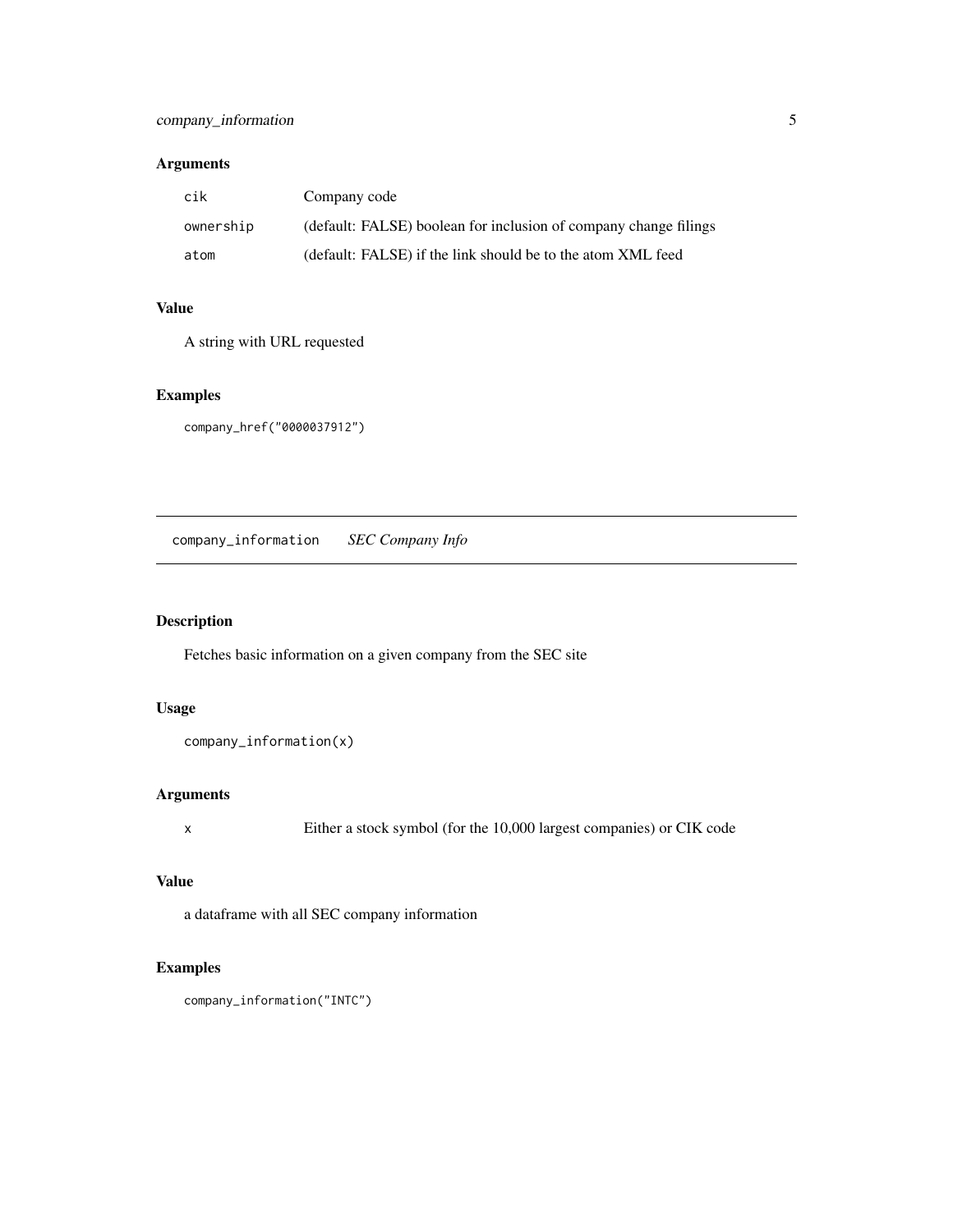## <span id="page-4-0"></span>Arguments

| cik       | Company code                                                     |
|-----------|------------------------------------------------------------------|
| ownership | (default: FALSE) boolean for inclusion of company change filings |
| atom      | (default: FALSE) if the link should be to the atom XML feed      |

## Value

A string with URL requested

## Examples

```
company_href("0000037912")
```
<span id="page-4-1"></span>company\_information *SEC Company Info*

## Description

Fetches basic information on a given company from the SEC site

## Usage

```
company_information(x)
```
## Arguments

x Either a stock symbol (for the 10,000 largest companies) or CIK code

## Value

a dataframe with all SEC company information

## Examples

company\_information("INTC")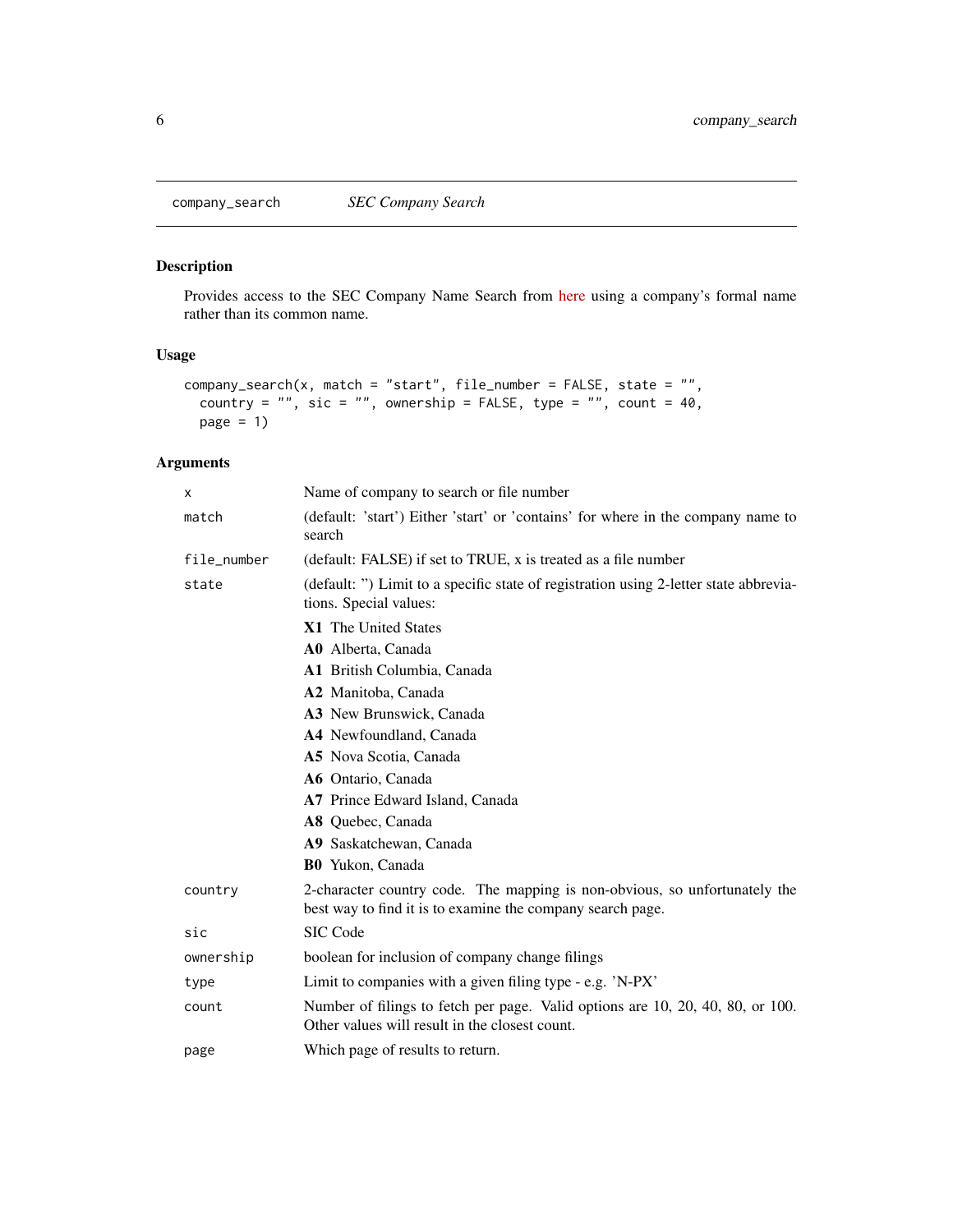<span id="page-5-0"></span>company\_search *SEC Company Search*

## Description

Provides access to the SEC Company Name Search from [here](https://www.sec.gov/edgar/searchedgar/companysearch.html) using a company's formal name rather than its common name.

#### Usage

```
company_search(x, match = "start", file_number = FALSE, state = "",
 country = ", sic = ", ownership = FALSE, type = ", count = 40,
 page = 1
```

| x           | Name of company to search or file number                                                                                                 |
|-------------|------------------------------------------------------------------------------------------------------------------------------------------|
| match       | (default: 'start') Either 'start' or 'contains' for where in the company name to<br>search                                               |
| file_number | (default: FALSE) if set to TRUE, x is treated as a file number                                                                           |
| state       | (default: ") Limit to a specific state of registration using 2-letter state abbrevia-<br>tions. Special values:                          |
|             | X1 The United States                                                                                                                     |
|             | A0 Alberta, Canada                                                                                                                       |
|             | A1 British Columbia, Canada                                                                                                              |
|             | A2 Manitoba, Canada                                                                                                                      |
|             | A3 New Brunswick, Canada                                                                                                                 |
|             | A4 Newfoundland, Canada                                                                                                                  |
|             | A5 Nova Scotia, Canada                                                                                                                   |
|             | A6 Ontario, Canada                                                                                                                       |
|             | A7 Prince Edward Island, Canada                                                                                                          |
|             | A8 Quebec, Canada                                                                                                                        |
|             | A9 Saskatchewan, Canada                                                                                                                  |
|             | B0 Yukon, Canada                                                                                                                         |
| country     | 2-character country code. The mapping is non-obvious, so unfortunately the<br>best way to find it is to examine the company search page. |
| sic         | SIC Code                                                                                                                                 |
| ownership   | boolean for inclusion of company change filings                                                                                          |
| type        | Limit to companies with a given filing type - e.g. 'N-PX'                                                                                |
| count       | Number of filings to fetch per page. Valid options are 10, 20, 40, 80, or 100.<br>Other values will result in the closest count.         |
| page        | Which page of results to return.                                                                                                         |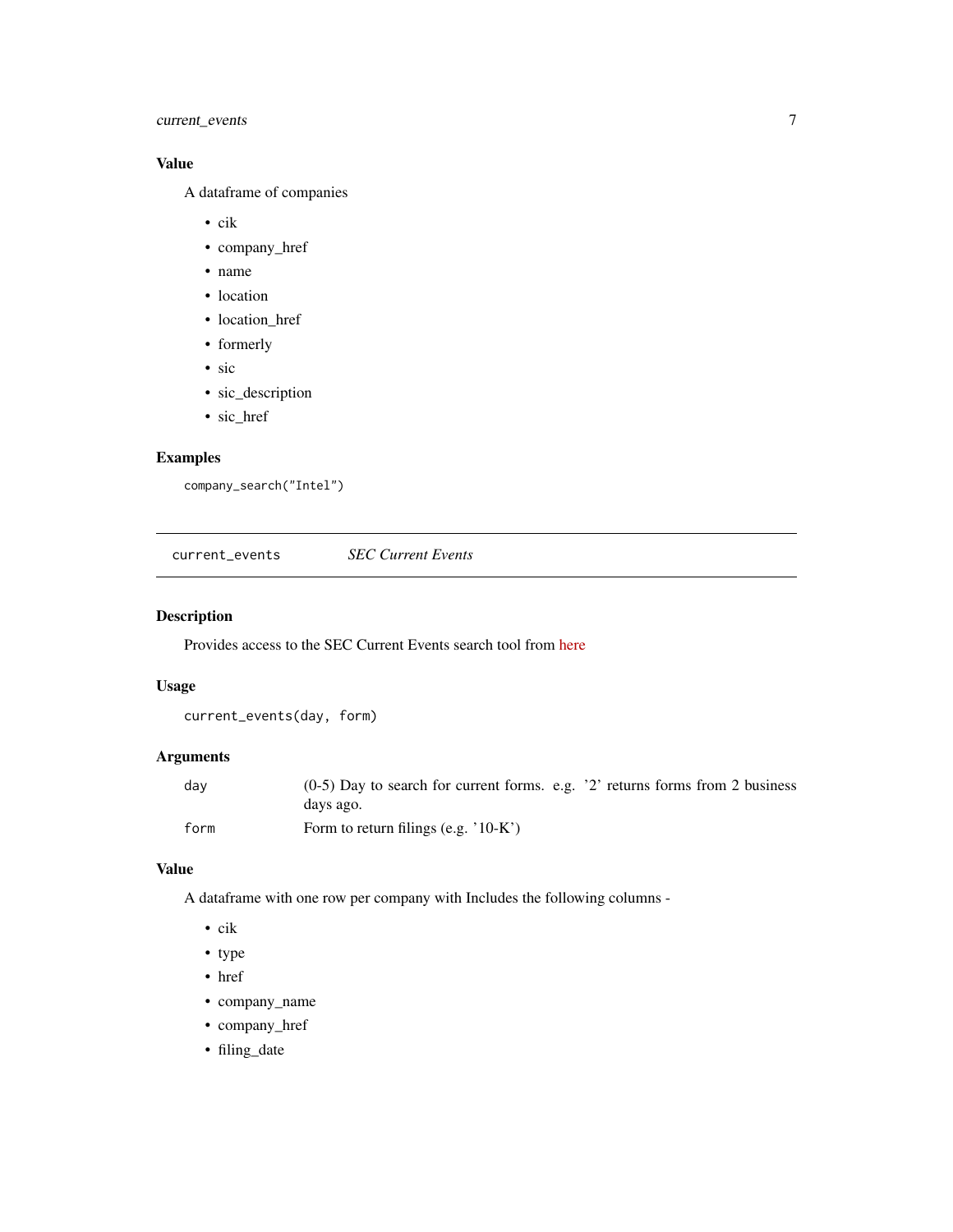## <span id="page-6-0"></span>current\_events 7

## Value

A dataframe of companies

- cik
- company\_href
- name
- location
- location\_href
- formerly
- sic
- sic\_description
- sic\_href

## Examples

```
company_search("Intel")
```
current\_events *SEC Current Events*

## Description

Provides access to the SEC Current Events search tool from [here](https://www.sec.gov/edgar/searchedgar/currentevents.htm)

#### Usage

```
current_events(day, form)
```
## Arguments

| dav  | $(0-5)$ Day to search for current forms. e.g. '2' returns forms from 2 business |
|------|---------------------------------------------------------------------------------|
|      | days ago.                                                                       |
| form | Form to return filings (e.g. $10-K$ )                                           |

#### Value

A dataframe with one row per company with Includes the following columns -

- cik
- type
- href
- company\_name
- company\_href
- filing\_date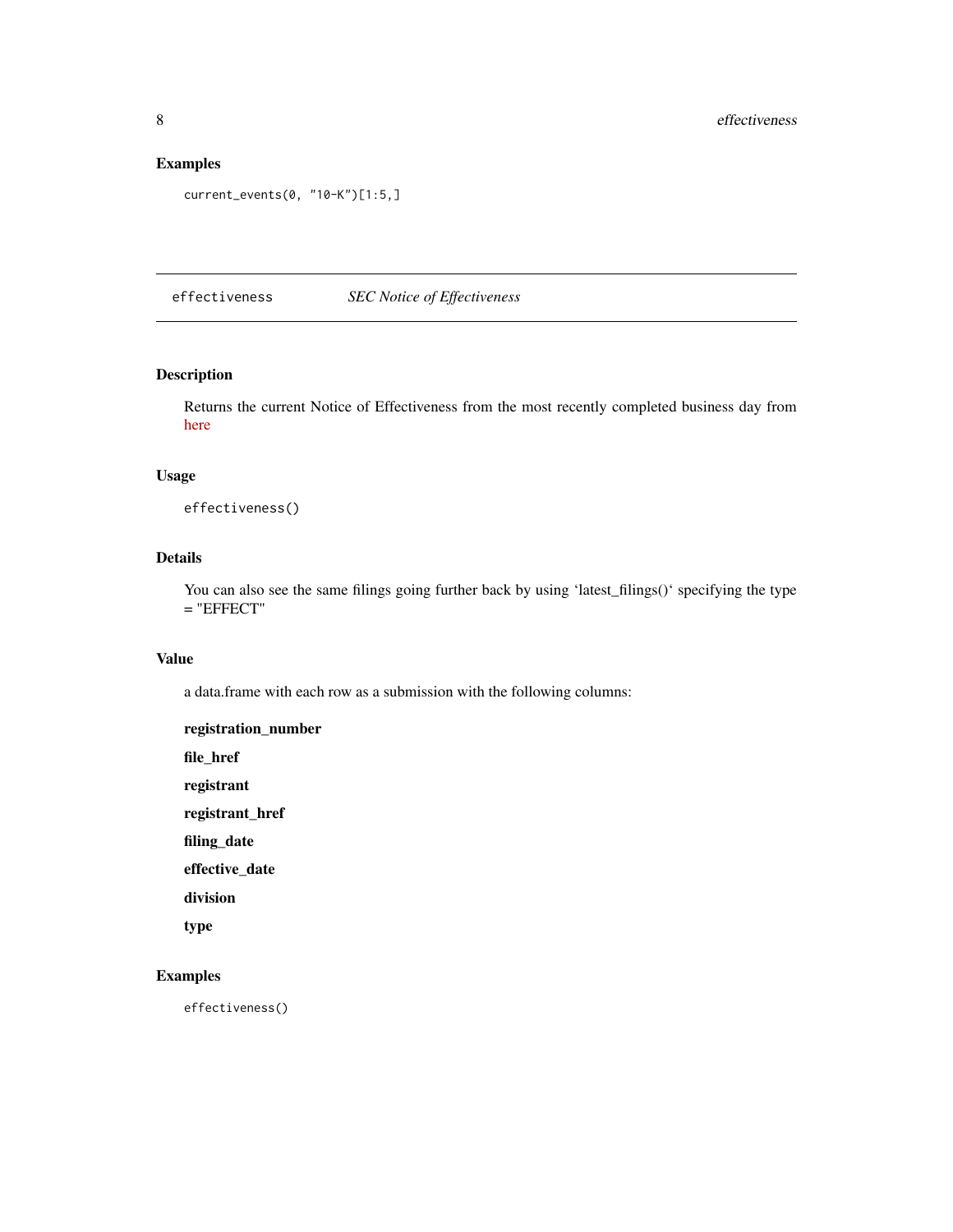## <span id="page-7-0"></span>Examples

```
current_events(0, "10-K")[1:5,]
```
effectiveness *SEC Notice of Effectiveness*

## Description

Returns the current Notice of Effectiveness from the most recently completed business day from [here](https://www.sec.gov/cgi-bin/browse-edgar?action=geteffect)

#### Usage

effectiveness()

## Details

You can also see the same filings going further back by using 'latest\_filings()' specifying the type  $=$  "EFFECT"

## Value

a data.frame with each row as a submission with the following columns:

| registration_number |
|---------------------|
| file href           |
| registrant          |
| registrant href     |
| filing date         |
| effective date      |
| division            |
| type                |

## Examples

effectiveness()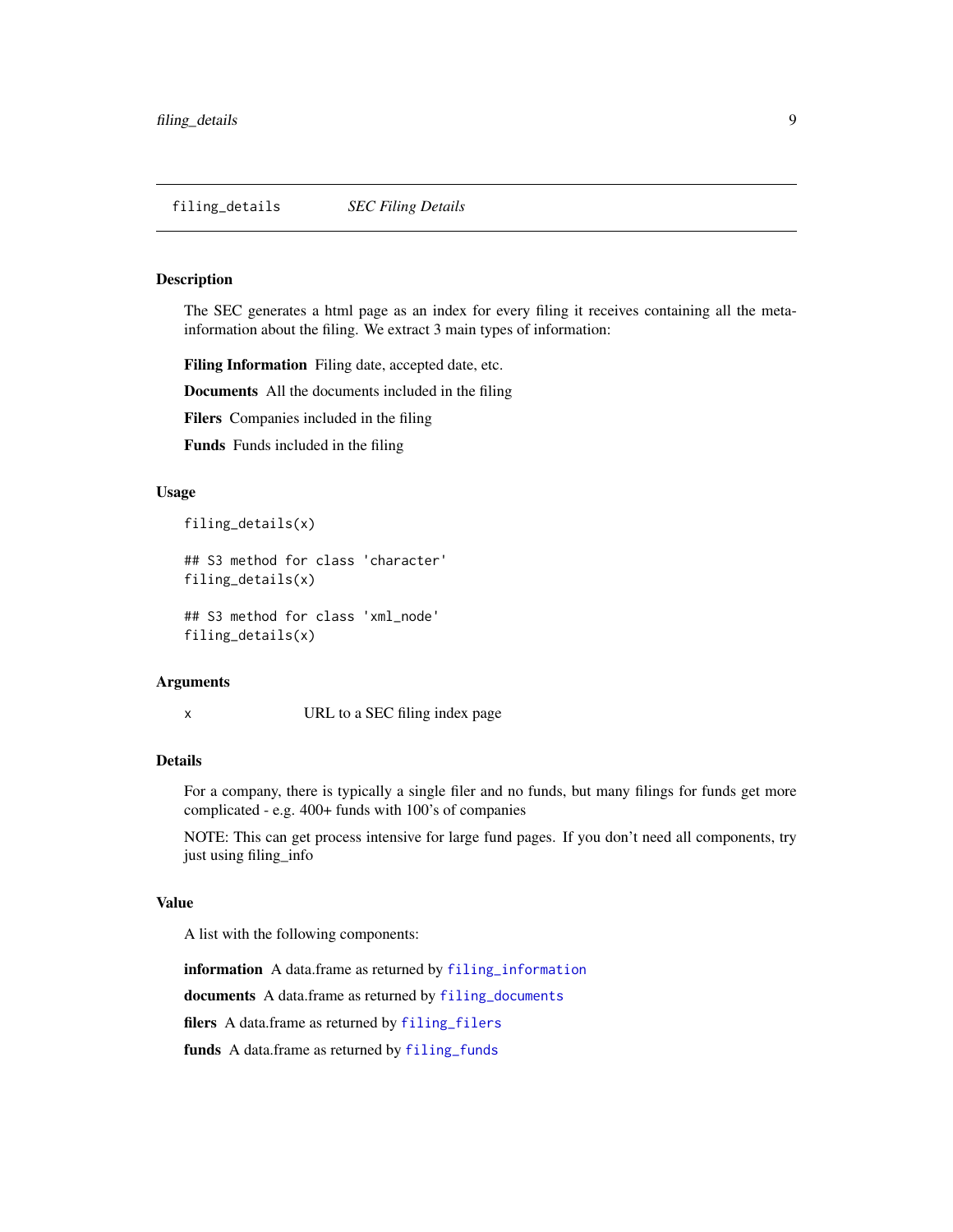#### <span id="page-8-0"></span>Description

The SEC generates a html page as an index for every filing it receives containing all the metainformation about the filing. We extract 3 main types of information:

Filing Information Filing date, accepted date, etc.

Documents All the documents included in the filing

Filers Companies included in the filing

Funds Funds included in the filing

#### Usage

filing\_details(x)

## S3 method for class 'character' filing\_details(x)

## S3 method for class 'xml\_node' filing\_details(x)

#### Arguments

x URL to a SEC filing index page

#### Details

For a company, there is typically a single filer and no funds, but many filings for funds get more complicated - e.g. 400+ funds with 100's of companies

NOTE: This can get process intensive for large fund pages. If you don't need all components, try just using filing\_info

#### Value

A list with the following components:

information A data.frame as returned by [filing\\_information](#page-11-1)

documents A data.frame as returned by [filing\\_documents](#page-9-1)

filers A data.frame as returned by [filing\\_filers](#page-10-1)

funds A data.frame as returned by [filing\\_funds](#page-10-2)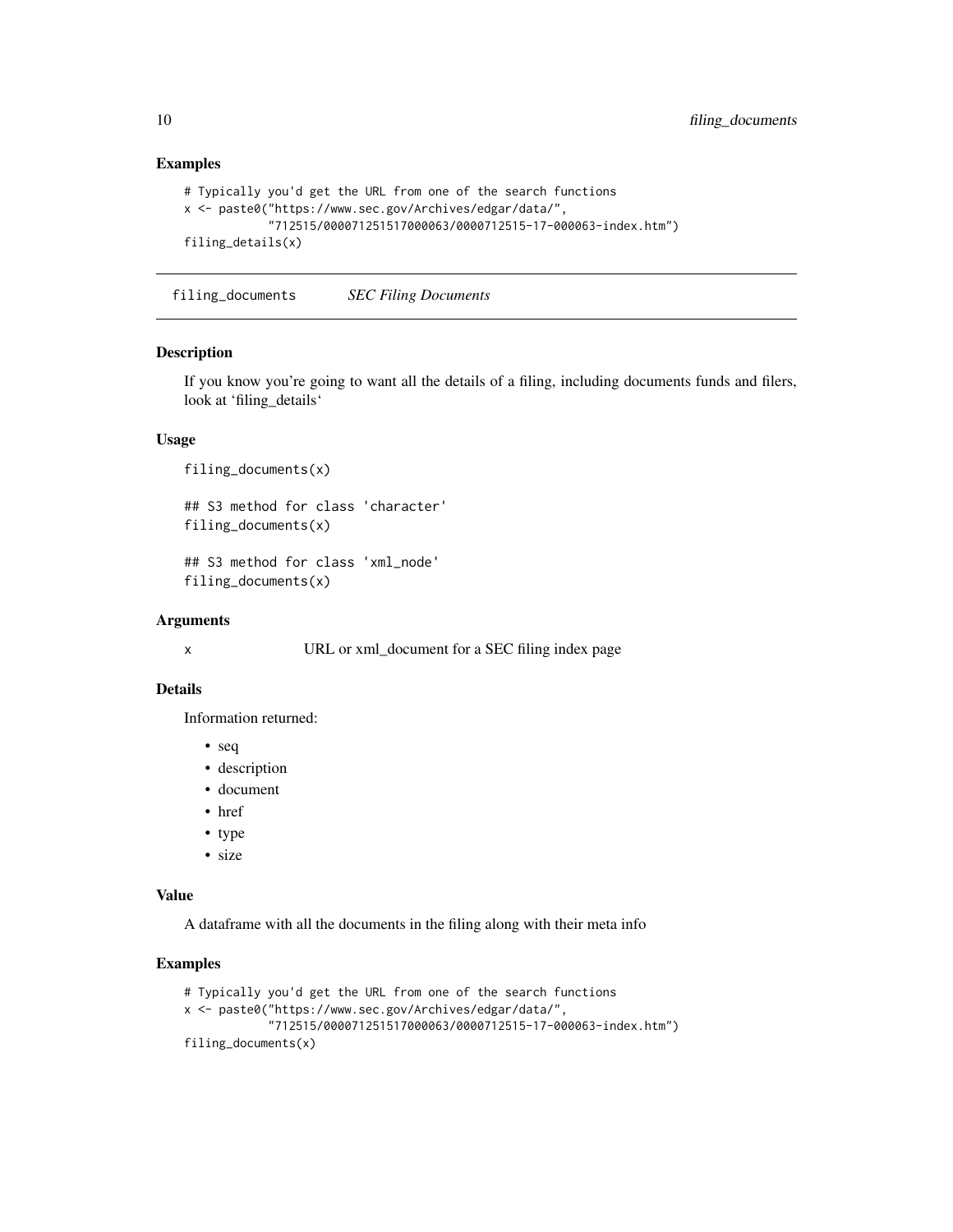## Examples

```
# Typically you'd get the URL from one of the search functions
x <- paste0("https://www.sec.gov/Archives/edgar/data/",
            "712515/000071251517000063/0000712515-17-000063-index.htm")
filing_details(x)
```
<span id="page-9-1"></span>filing\_documents *SEC Filing Documents*

#### Description

If you know you're going to want all the details of a filing, including documents funds and filers, look at 'filing\_details'

#### Usage

```
filing_documents(x)
```
## S3 method for class 'character' filing\_documents(x)

## S3 method for class 'xml\_node' filing\_documents(x)

#### Arguments

x URL or xml\_document for a SEC filing index page

#### Details

Information returned:

- seq
- description
- document
- href
- type
- size

#### Value

A dataframe with all the documents in the filing along with their meta info

#### Examples

```
# Typically you'd get the URL from one of the search functions
x <- paste0("https://www.sec.gov/Archives/edgar/data/",
            "712515/000071251517000063/0000712515-17-000063-index.htm")
filing_documents(x)
```
<span id="page-9-0"></span>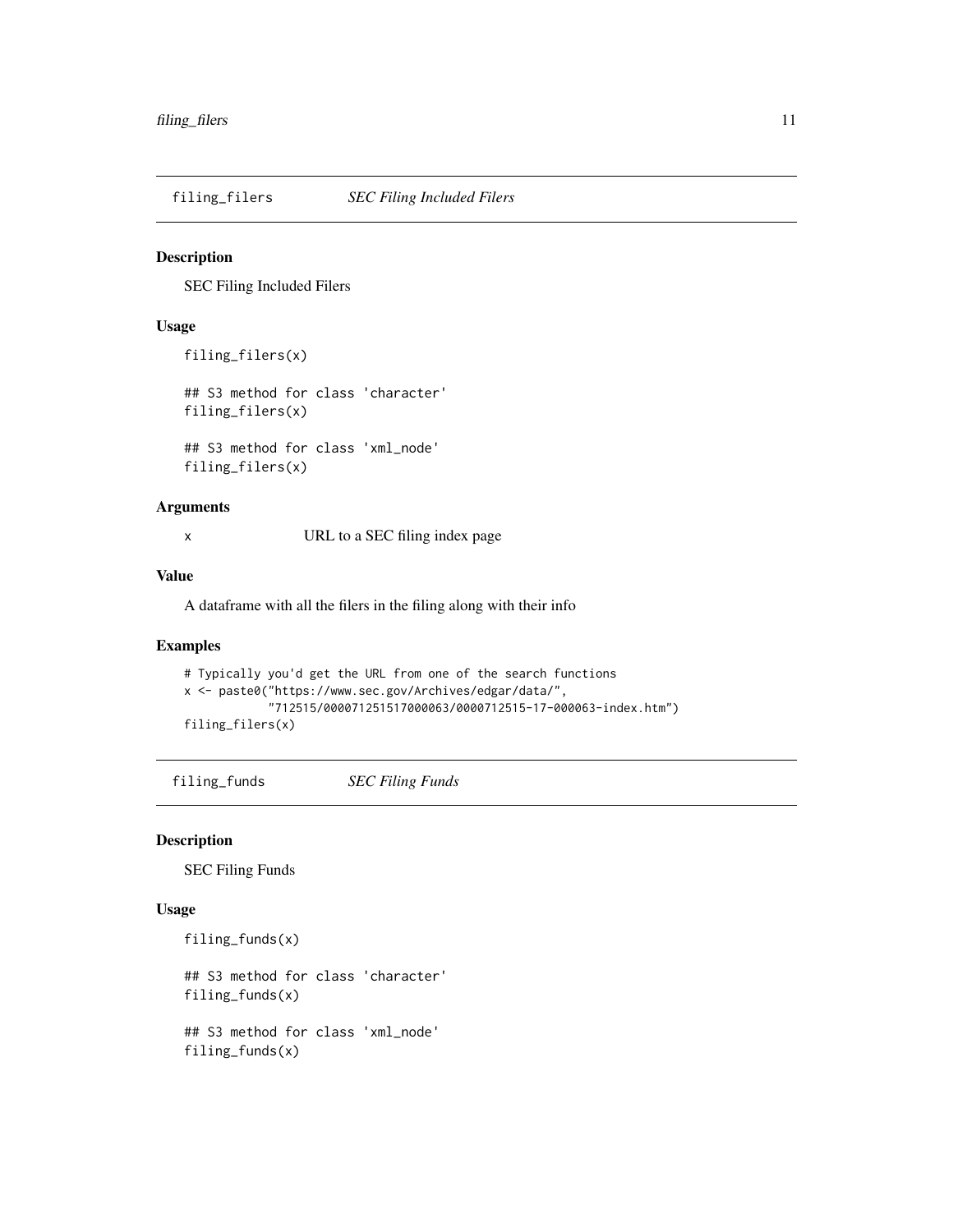<span id="page-10-1"></span><span id="page-10-0"></span>filing\_filers *SEC Filing Included Filers*

#### Description

SEC Filing Included Filers

## Usage

```
filing_filers(x)
```
## S3 method for class 'character' filing\_filers(x)

## S3 method for class 'xml\_node' filing\_filers(x)

## Arguments

x URL to a SEC filing index page

#### Value

A dataframe with all the filers in the filing along with their info

#### Examples

```
# Typically you'd get the URL from one of the search functions
x <- paste0("https://www.sec.gov/Archives/edgar/data/",
            "712515/000071251517000063/0000712515-17-000063-index.htm")
filing_filers(x)
```
<span id="page-10-2"></span>filing\_funds *SEC Filing Funds*

#### Description

SEC Filing Funds

#### Usage

```
filing_funds(x)
```
filing\_funds(x)

## S3 method for class 'character' filing\_funds(x) ## S3 method for class 'xml\_node'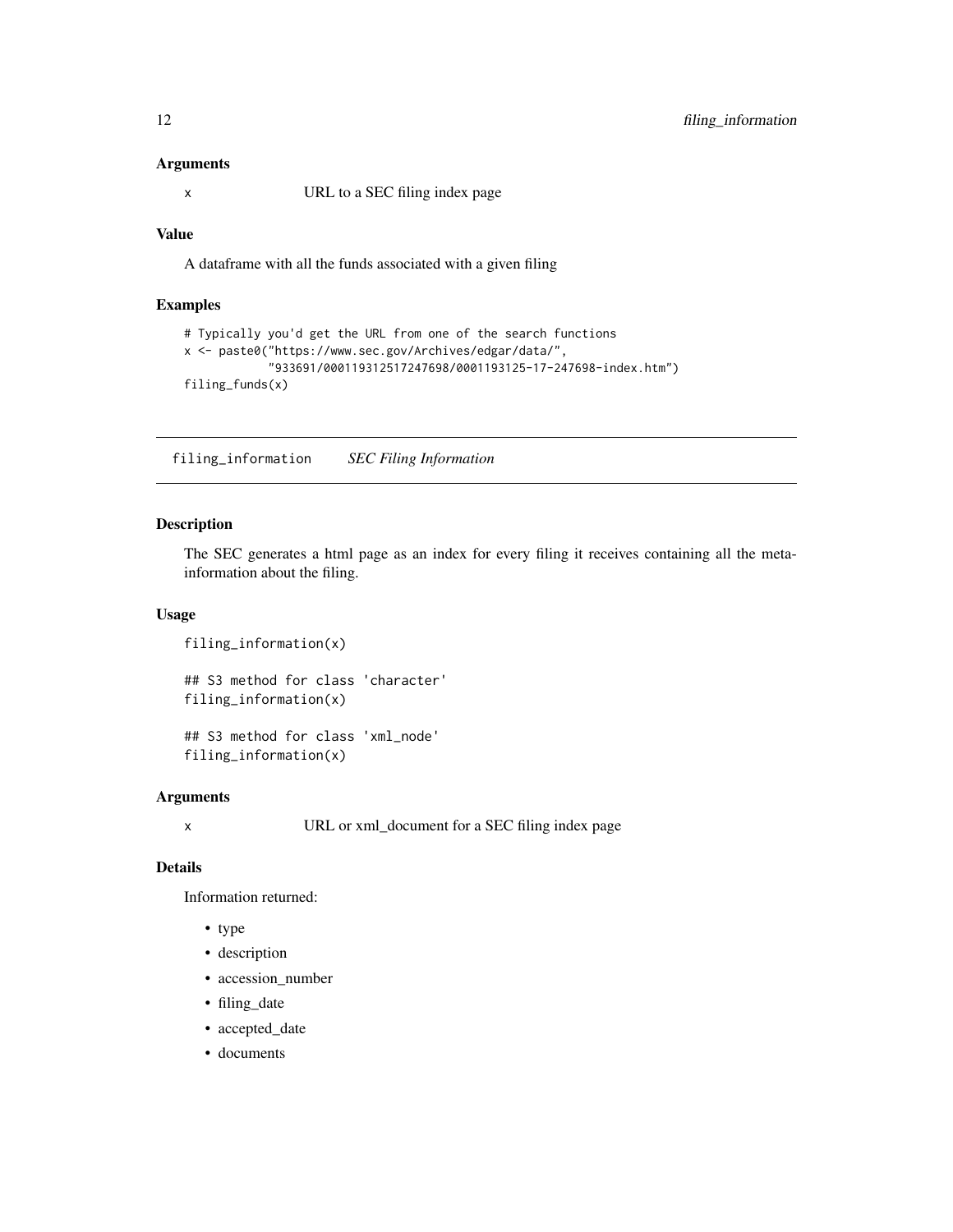#### <span id="page-11-0"></span>Arguments

x URL to a SEC filing index page

#### Value

A dataframe with all the funds associated with a given filing

## Examples

```
# Typically you'd get the URL from one of the search functions
x <- paste0("https://www.sec.gov/Archives/edgar/data/",
           "933691/000119312517247698/0001193125-17-247698-index.htm")
filing_funds(x)
```
<span id="page-11-1"></span>filing\_information *SEC Filing Information*

#### Description

The SEC generates a html page as an index for every filing it receives containing all the metainformation about the filing.

#### Usage

```
filing_information(x)
## S3 method for class 'character'
filing_information(x)
## S3 method for class 'xml_node'
```
filing\_information(x)

#### Arguments

x URL or xml\_document for a SEC filing index page

#### Details

Information returned:

- type
- description
- accession\_number
- filing\_date
- accepted\_date
- documents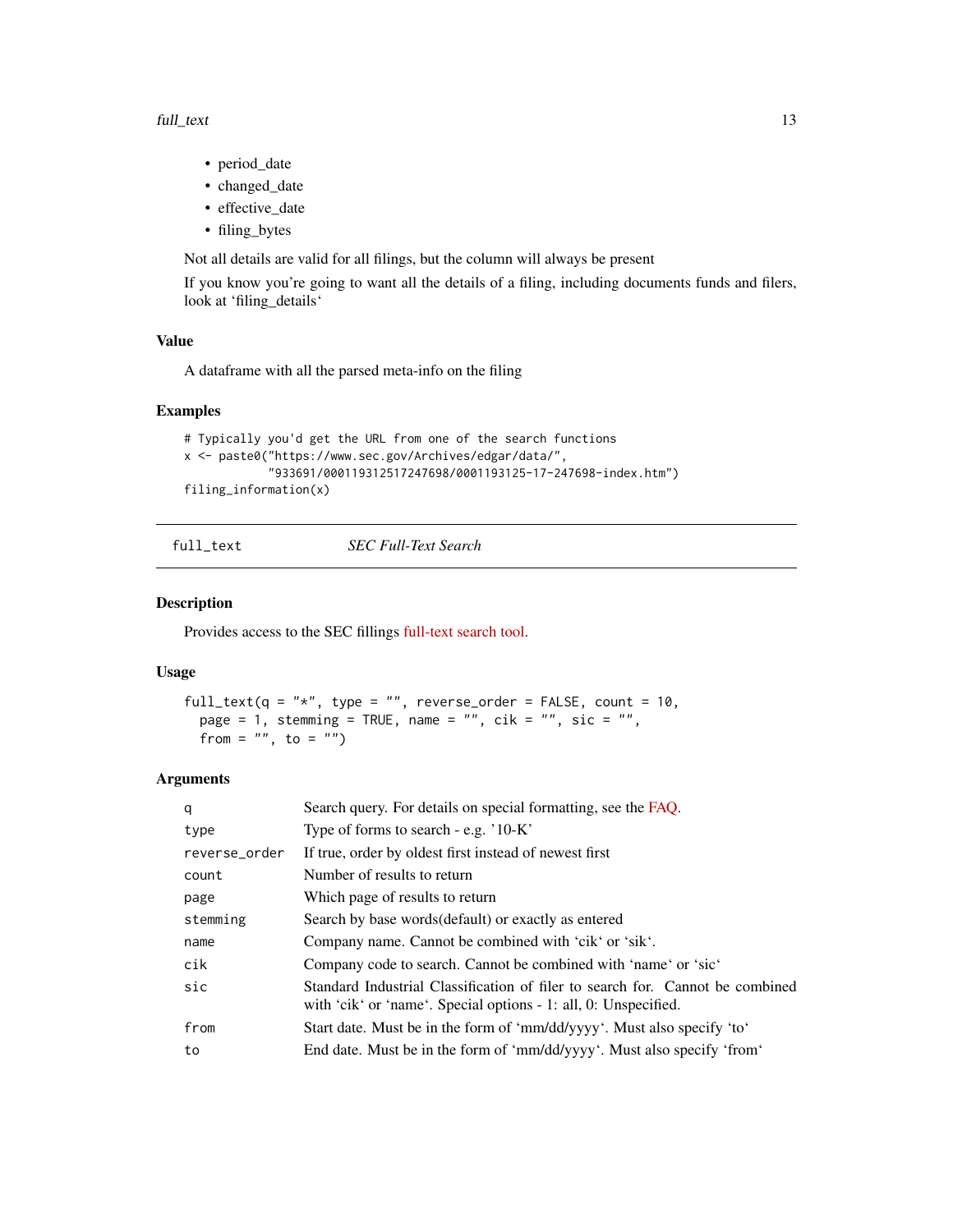- <span id="page-12-0"></span>• period\_date
- changed\_date
- effective date
- filing\_bytes

Not all details are valid for all filings, but the column will always be present

If you know you're going to want all the details of a filing, including documents funds and filers, look at 'filing\_details'

#### Value

A dataframe with all the parsed meta-info on the filing

## Examples

```
# Typically you'd get the URL from one of the search functions
x <- paste0("https://www.sec.gov/Archives/edgar/data/",
            "933691/000119312517247698/0001193125-17-247698-index.htm")
filing_information(x)
```
full\_text *SEC Full-Text Search*

#### Description

Provides access to the SEC fillings [full-text search tool.](https://searchwww.sec.gov/EDGARFSClient/jsp/EDGAR_MainAccess.jsp)

#### Usage

```
full_text(q = "*", type = "", reverse_order = FALSE, count = 10,
 page = 1, stemming = TRUE, name = ", cik = ", sic = ",
 from = \sin, to = \sin)
```

| q             | Search query. For details on special formatting, see the FAQ.                                                                                    |
|---------------|--------------------------------------------------------------------------------------------------------------------------------------------------|
| type          | Type of forms to search - e.g. $10-K$                                                                                                            |
| reverse_order | If true, order by oldest first instead of newest first                                                                                           |
| count         | Number of results to return                                                                                                                      |
| page          | Which page of results to return                                                                                                                  |
| stemming      | Search by base words (default) or exactly as entered                                                                                             |
| name          | Company name. Cannot be combined with 'cik' or 'sik'.                                                                                            |
| cik           | Company code to search. Cannot be combined with 'name' or 'sic'                                                                                  |
| sic           | Standard Industrial Classification of filer to search for. Cannot be combined<br>with 'cik' or 'name'. Special options - 1: all, 0: Unspecified. |
| from          | Start date. Must be in the form of 'mm/dd/yyyy'. Must also specify 'to'                                                                          |
| to            | End date. Must be in the form of 'mm/dd/yyyy'. Must also specify 'from'                                                                          |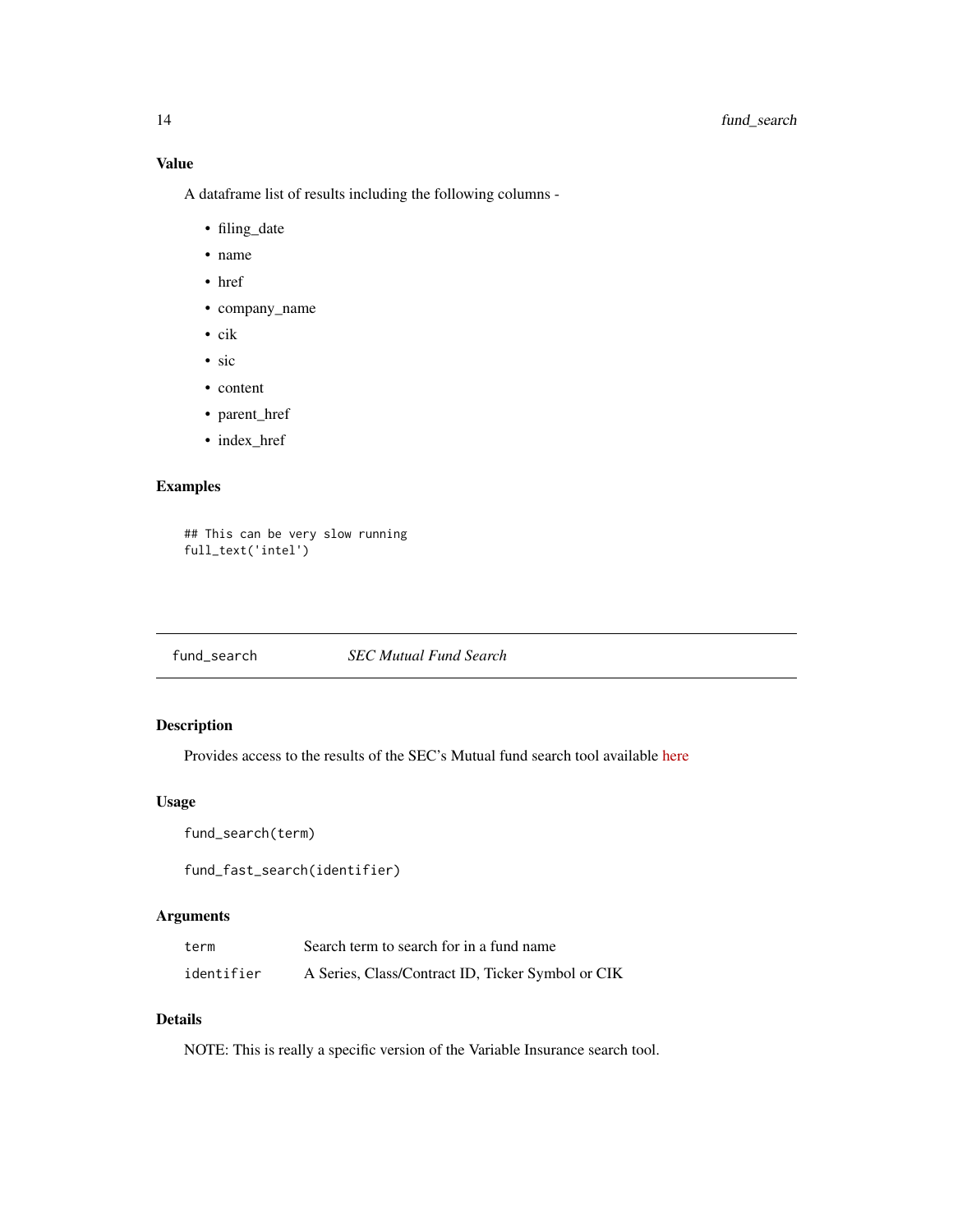<span id="page-13-0"></span>A dataframe list of results including the following columns -

- filing\_date
- name
- href
- company\_name
- cik
- sic
- content
- parent\_href
- index\_href

## Examples

```
## This can be very slow running
full_text('intel')
```
fund\_search *SEC Mutual Fund Search*

## Description

Provides access to the results of the SEC's Mutual fund search tool available [here](https://www.sec.gov/edgar/searchedgar/mutualsearch.html)

## Usage

```
fund_search(term)
```
fund\_fast\_search(identifier)

## Arguments

| term       | Search term to search for in a fund name          |
|------------|---------------------------------------------------|
| identifier | A Series, Class/Contract ID, Ticker Symbol or CIK |

## Details

NOTE: This is really a specific version of the Variable Insurance search tool.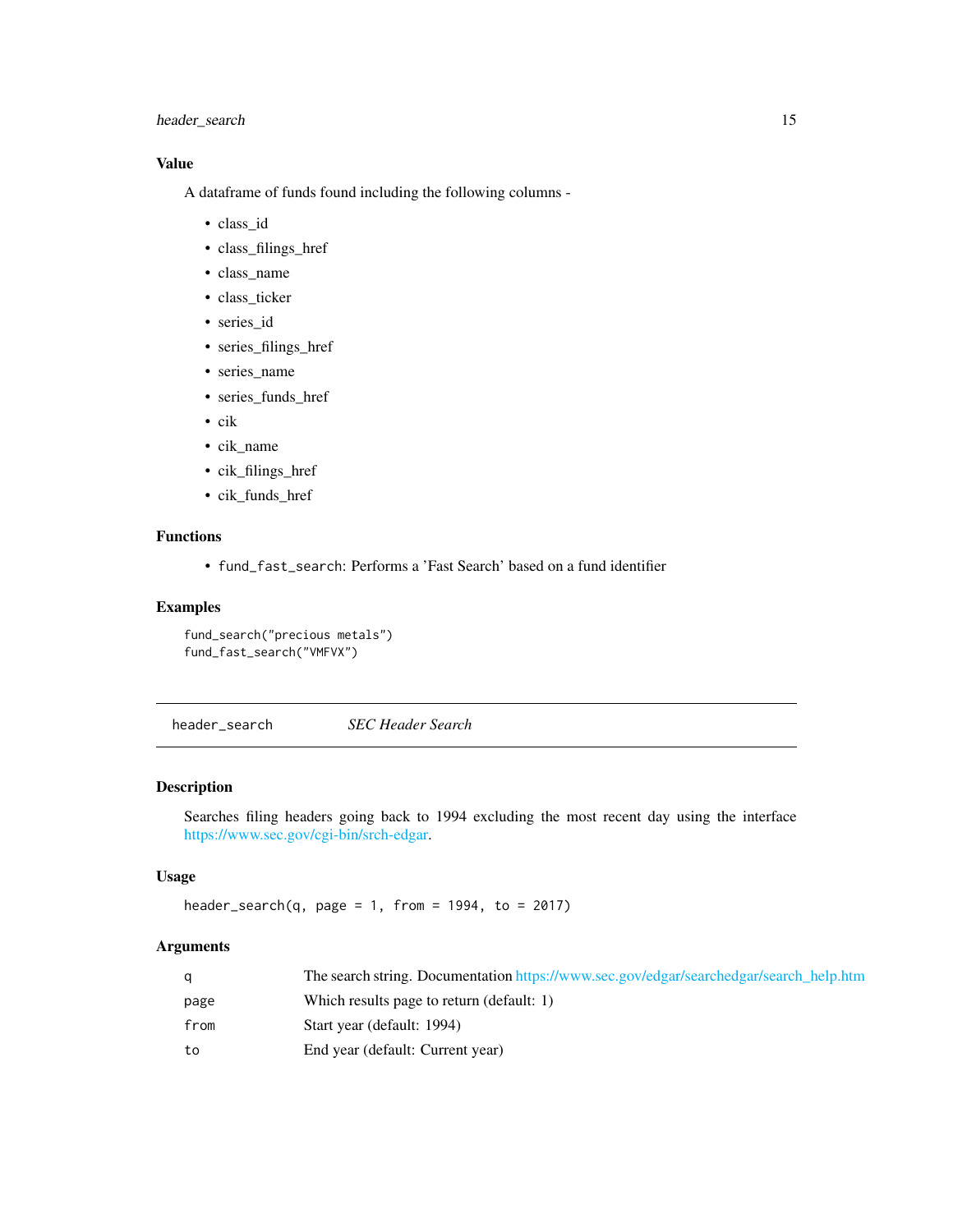## <span id="page-14-0"></span>header\_search 15

## Value

A dataframe of funds found including the following columns -

- class\_id
- class\_filings\_href
- class\_name
- class\_ticker
- series\_id
- series\_filings\_href
- series\_name
- series\_funds\_href
- cik
- cik\_name
- cik\_filings\_href
- cik\_funds\_href

## Functions

• fund\_fast\_search: Performs a 'Fast Search' based on a fund identifier

## Examples

```
fund_search("precious metals")
fund_fast_search("VMFVX")
```
header\_search *SEC Header Search*

## Description

Searches filing headers going back to 1994 excluding the most recent day using the interface [https://www.sec.gov/cgi-bin/srch-edgar.](#page-0-0)

#### Usage

```
header_search(q, page = 1, from = 1994, to = 2017)
```

|      | The search string. Documentation https://www.sec.gov/edgar/searchedgar/search help.htm |
|------|----------------------------------------------------------------------------------------|
| page | Which results page to return (default: 1)                                              |
| from | Start year (default: 1994)                                                             |
| to   | End year (default: Current year)                                                       |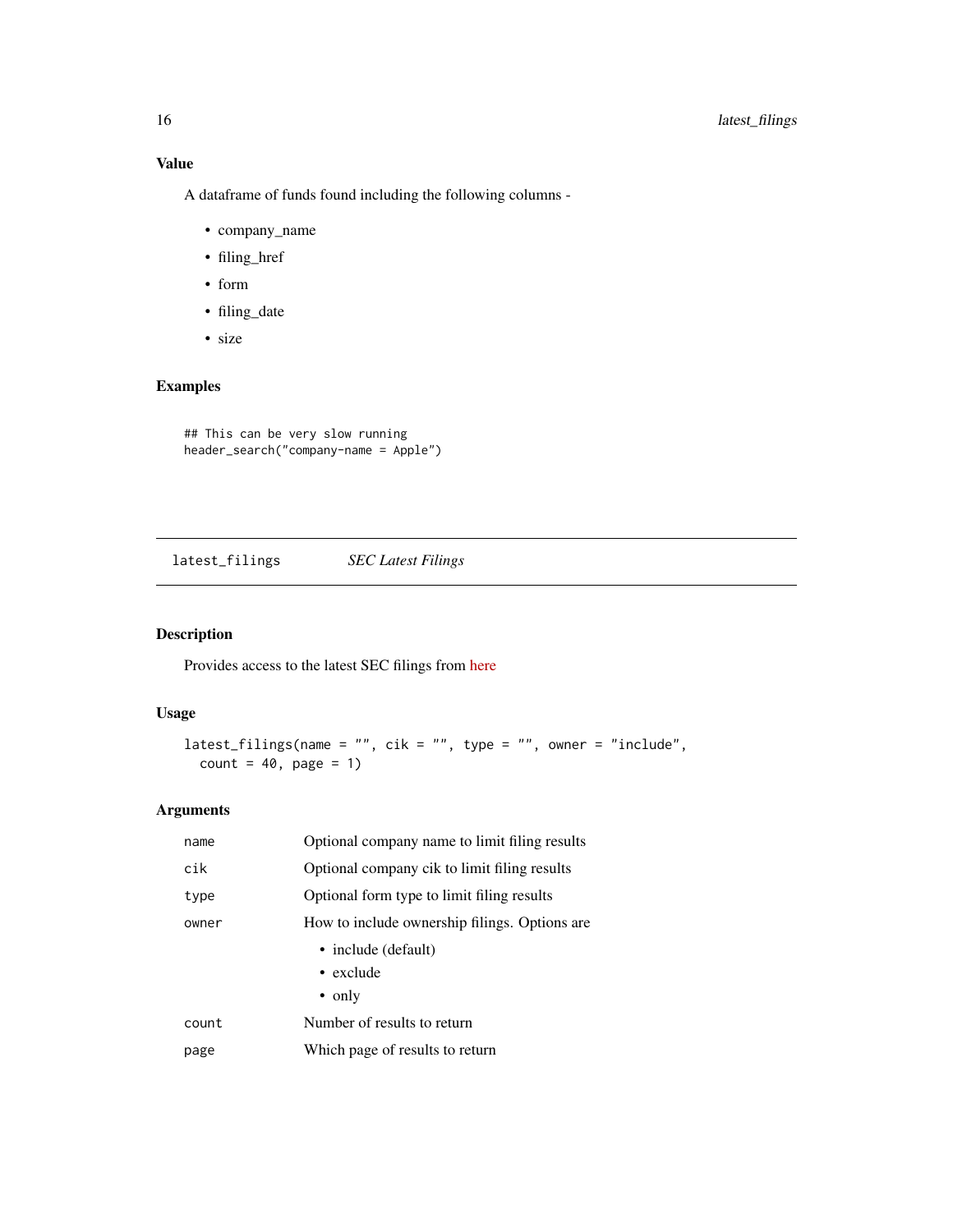<span id="page-15-0"></span>A dataframe of funds found including the following columns -

- company\_name
- filing\_href
- form
- filing\_date
- size

## Examples

## This can be very slow running header\_search("company-name = Apple")

latest\_filings *SEC Latest Filings*

## Description

Provides access to the latest SEC filings from [here](https://www.sec.gov/cgi-bin/browse-edgar?action=getcurrent)

#### Usage

```
latest_filings(name = ", cik = ", type = ", owner = "include",
 count = 40, page = 1)
```

| name  | Optional company name to limit filing results |  |
|-------|-----------------------------------------------|--|
| cik   | Optional company cik to limit filing results  |  |
| type  | Optional form type to limit filing results    |  |
| owner | How to include ownership filings. Options are |  |
|       | • include (default)                           |  |
|       | $\bullet$ exclude                             |  |
|       | $\bullet$ only                                |  |
| count | Number of results to return                   |  |
| page  | Which page of results to return               |  |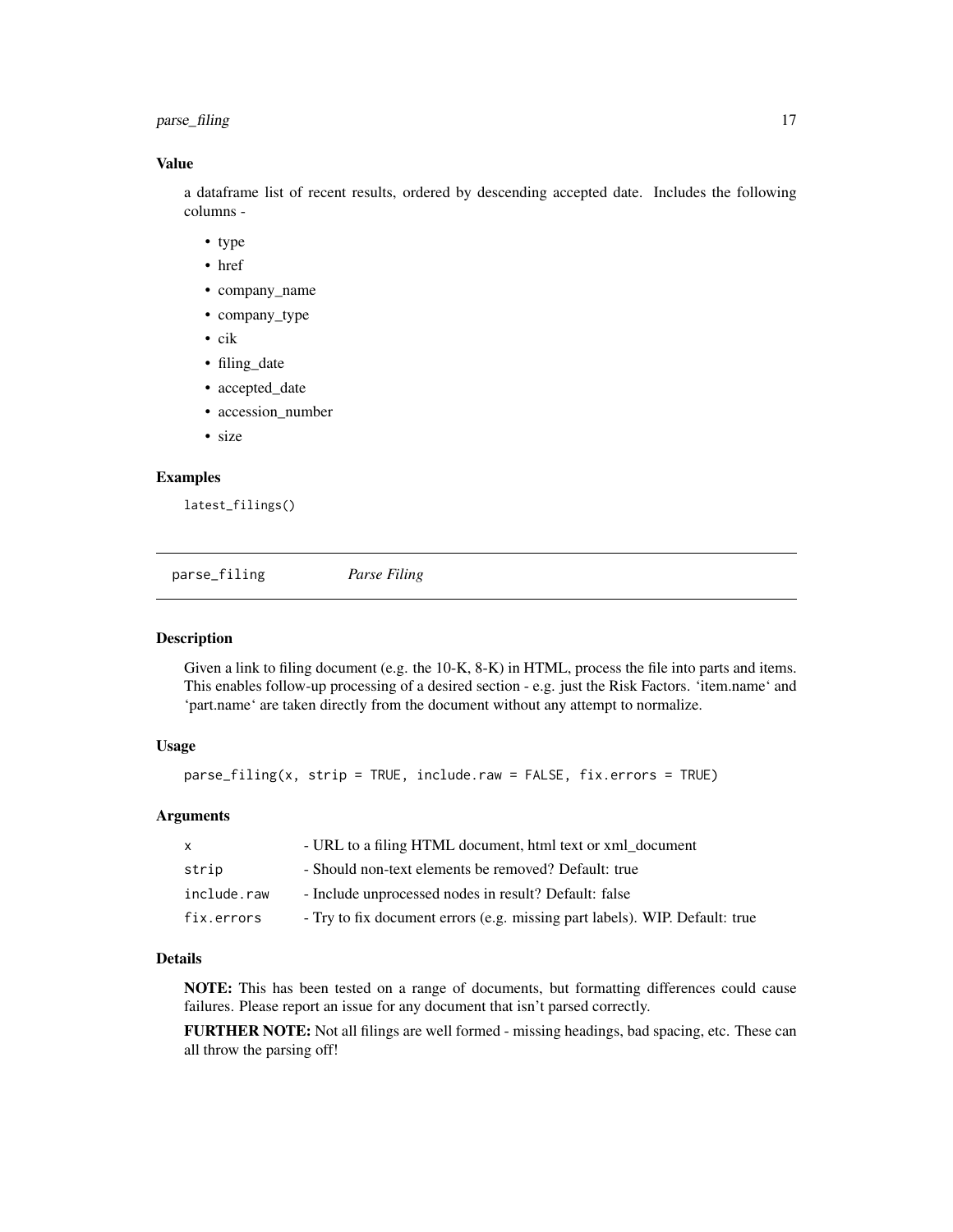## <span id="page-16-0"></span>parse\_filing 17

#### Value

a dataframe list of recent results, ordered by descending accepted date. Includes the following columns -

- type
- href
- company\_name
- company\_type
- cik
- filing\_date
- accepted\_date
- accession\_number
- size

#### Examples

latest\_filings()

parse\_filing *Parse Filing*

#### Description

Given a link to filing document (e.g. the 10-K, 8-K) in HTML, process the file into parts and items. This enables follow-up processing of a desired section - e.g. just the Risk Factors. 'item.name' and 'part.name' are taken directly from the document without any attempt to normalize.

#### Usage

parse\_filing(x, strip = TRUE, include.raw = FALSE, fix.errors = TRUE)

#### Arguments

| X           | - URL to a filing HTML document, html text or xml_document                  |
|-------------|-----------------------------------------------------------------------------|
| strip       | - Should non-text elements be removed? Default: true                        |
| include.raw | - Include unprocessed nodes in result? Default: false                       |
| fix.errors  | - Try to fix document errors (e.g. missing part labels). WIP. Default: true |

#### Details

NOTE: This has been tested on a range of documents, but formatting differences could cause failures. Please report an issue for any document that isn't parsed correctly.

FURTHER NOTE: Not all filings are well formed - missing headings, bad spacing, etc. These can all throw the parsing off!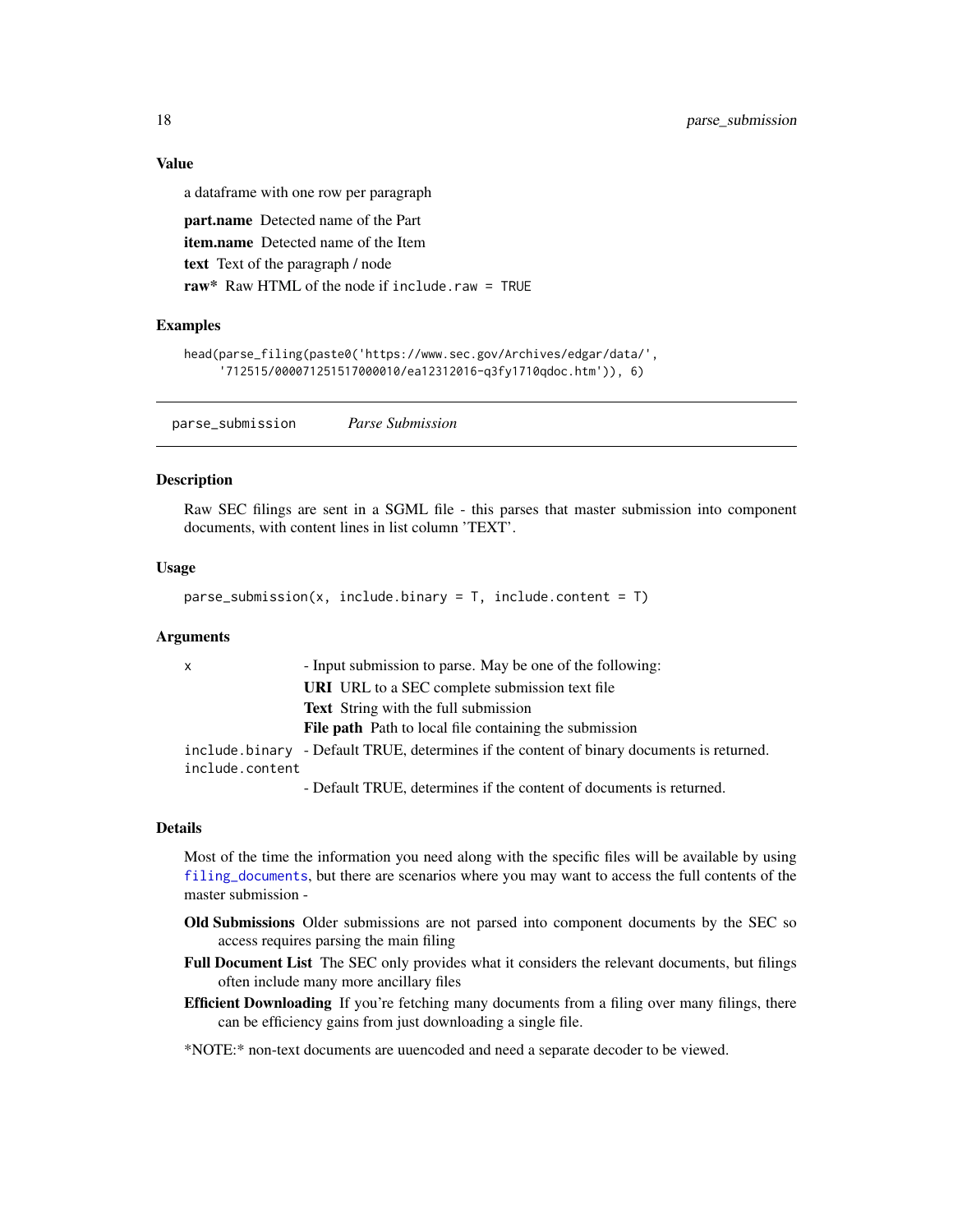#### Value

a dataframe with one row per paragraph part.name Detected name of the Part item.name Detected name of the Item text Text of the paragraph / node raw\* Raw HTML of the node if include.raw = TRUE

#### Examples

```
head(parse_filing(paste0('https://www.sec.gov/Archives/edgar/data/',
     '712515/000071251517000010/ea12312016-q3fy1710qdoc.htm')), 6)
```
parse\_submission *Parse Submission*

#### Description

Raw SEC filings are sent in a SGML file - this parses that master submission into component documents, with content lines in list column 'TEXT'.

#### Usage

 $parse\_submission(x, include.binary = T, include.context = T)$ 

#### Arguments

| $\mathsf{x}$    | - Input submission to parse. May be one of the following:                                                                                                                                                                                                                                                                                                                                                                                                                |
|-----------------|--------------------------------------------------------------------------------------------------------------------------------------------------------------------------------------------------------------------------------------------------------------------------------------------------------------------------------------------------------------------------------------------------------------------------------------------------------------------------|
|                 | <b>URI</b> URL to a SEC complete submission text file                                                                                                                                                                                                                                                                                                                                                                                                                    |
|                 | <b>Text</b> String with the full submission                                                                                                                                                                                                                                                                                                                                                                                                                              |
|                 | <b>File path</b> Path to local file containing the submission                                                                                                                                                                                                                                                                                                                                                                                                            |
|                 | include binary - Default TRUE, determines if the content of binary documents is returned.                                                                                                                                                                                                                                                                                                                                                                                |
| include.content |                                                                                                                                                                                                                                                                                                                                                                                                                                                                          |
|                 | $D_1 f_{n+1}$ $\downarrow$ $D_1 H_{n+1}$ $\downarrow$ $\downarrow$ $\downarrow$ $\downarrow$ $\downarrow$ $\downarrow$ $\downarrow$ $\downarrow$ $\downarrow$ $\downarrow$ $\downarrow$ $\downarrow$ $\downarrow$ $\downarrow$ $\downarrow$ $\downarrow$ $\downarrow$ $\downarrow$ $\downarrow$ $\downarrow$ $\downarrow$ $\downarrow$ $\downarrow$ $\downarrow$ $\downarrow$ $\downarrow$ $\downarrow$ $\downarrow$ $\downarrow$ $\downarrow$ $\downarrow$ $\downarrow$ |

- Default TRUE, determines if the content of documents is returned.

#### Details

Most of the time the information you need along with the specific files will be available by using [filing\\_documents](#page-9-1), but there are scenarios where you may want to access the full contents of the master submission -

- Old Submissions Older submissions are not parsed into component documents by the SEC so access requires parsing the main filing
- Full Document List The SEC only provides what it considers the relevant documents, but filings often include many more ancillary files
- **Efficient Downloading** If you're fetching many documents from a filing over many filings, there can be efficiency gains from just downloading a single file.

\*NOTE:\* non-text documents are uuencoded and need a separate decoder to be viewed.

<span id="page-17-0"></span>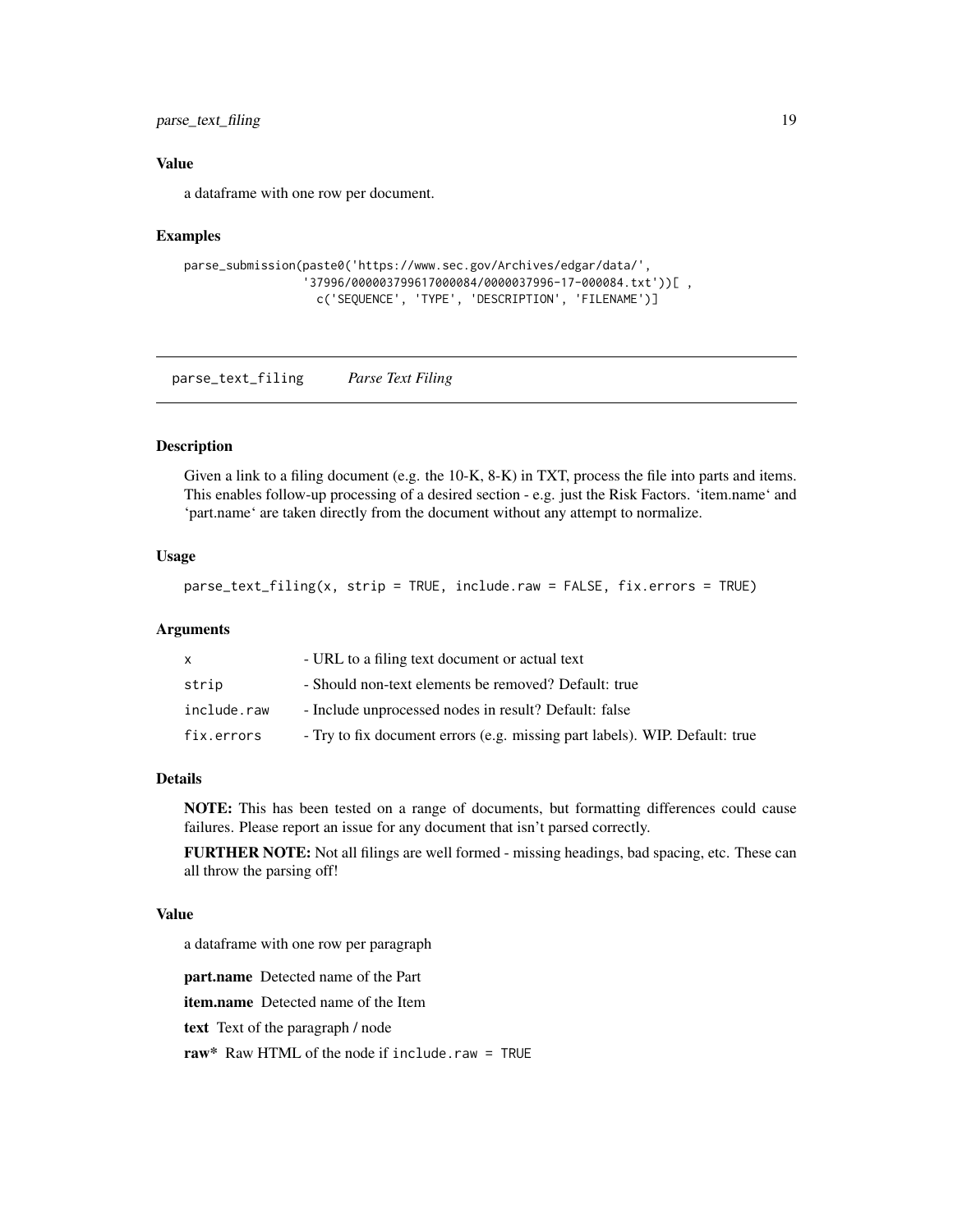<span id="page-18-0"></span>parse\_text\_filing 19

#### Value

a dataframe with one row per document.

#### Examples

```
parse_submission(paste0('https://www.sec.gov/Archives/edgar/data/',
                 '37996/000003799617000084/0000037996-17-000084.txt'))[ ,
                  c('SEQUENCE', 'TYPE', 'DESCRIPTION', 'FILENAME')]
```
parse\_text\_filing *Parse Text Filing*

#### Description

Given a link to a filing document (e.g. the 10-K, 8-K) in TXT, process the file into parts and items. This enables follow-up processing of a desired section - e.g. just the Risk Factors. 'item.name' and 'part.name' are taken directly from the document without any attempt to normalize.

## Usage

parse\_text\_filing(x, strip = TRUE, include.raw = FALSE, fix.errors = TRUE)

#### Arguments

|             | - URL to a filing text document or actual text                              |
|-------------|-----------------------------------------------------------------------------|
| strip       | - Should non-text elements be removed? Default: true                        |
| include.raw | - Include unprocessed nodes in result? Default: false                       |
| fix.errors  | - Try to fix document errors (e.g. missing part labels). WIP. Default: true |

#### Details

NOTE: This has been tested on a range of documents, but formatting differences could cause failures. Please report an issue for any document that isn't parsed correctly.

FURTHER NOTE: Not all filings are well formed - missing headings, bad spacing, etc. These can all throw the parsing off!

#### Value

a dataframe with one row per paragraph

part.name Detected name of the Part

item.name Detected name of the Item

text Text of the paragraph / node

raw\* Raw HTML of the node if include.raw = TRUE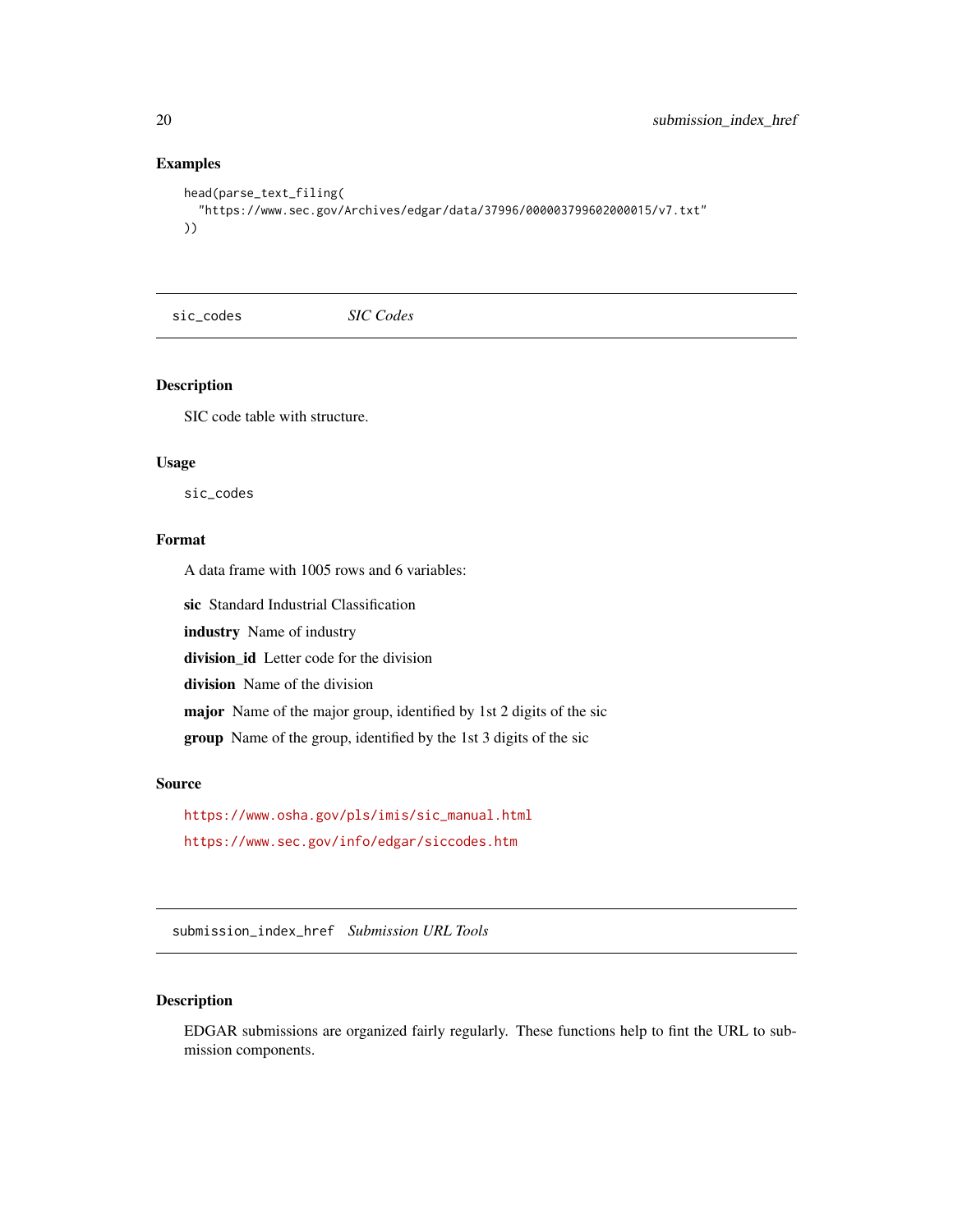## Examples

```
head(parse_text_filing(
  "https://www.sec.gov/Archives/edgar/data/37996/000003799602000015/v7.txt"
))
```
sic\_codes *SIC Codes*

#### Description

SIC code table with structure.

#### Usage

sic\_codes

## Format

A data frame with 1005 rows and 6 variables:

sic Standard Industrial Classification

industry Name of industry

division\_id Letter code for the division

division Name of the division

major Name of the major group, identified by 1st 2 digits of the sic

group Name of the group, identified by the 1st 3 digits of the sic

#### Source

```
https://www.osha.gov/pls/imis/sic_manual.html
https://www.sec.gov/info/edgar/siccodes.htm
```
submission\_index\_href *Submission URL Tools*

## Description

EDGAR submissions are organized fairly regularly. These functions help to fint the URL to submission components.

<span id="page-19-0"></span>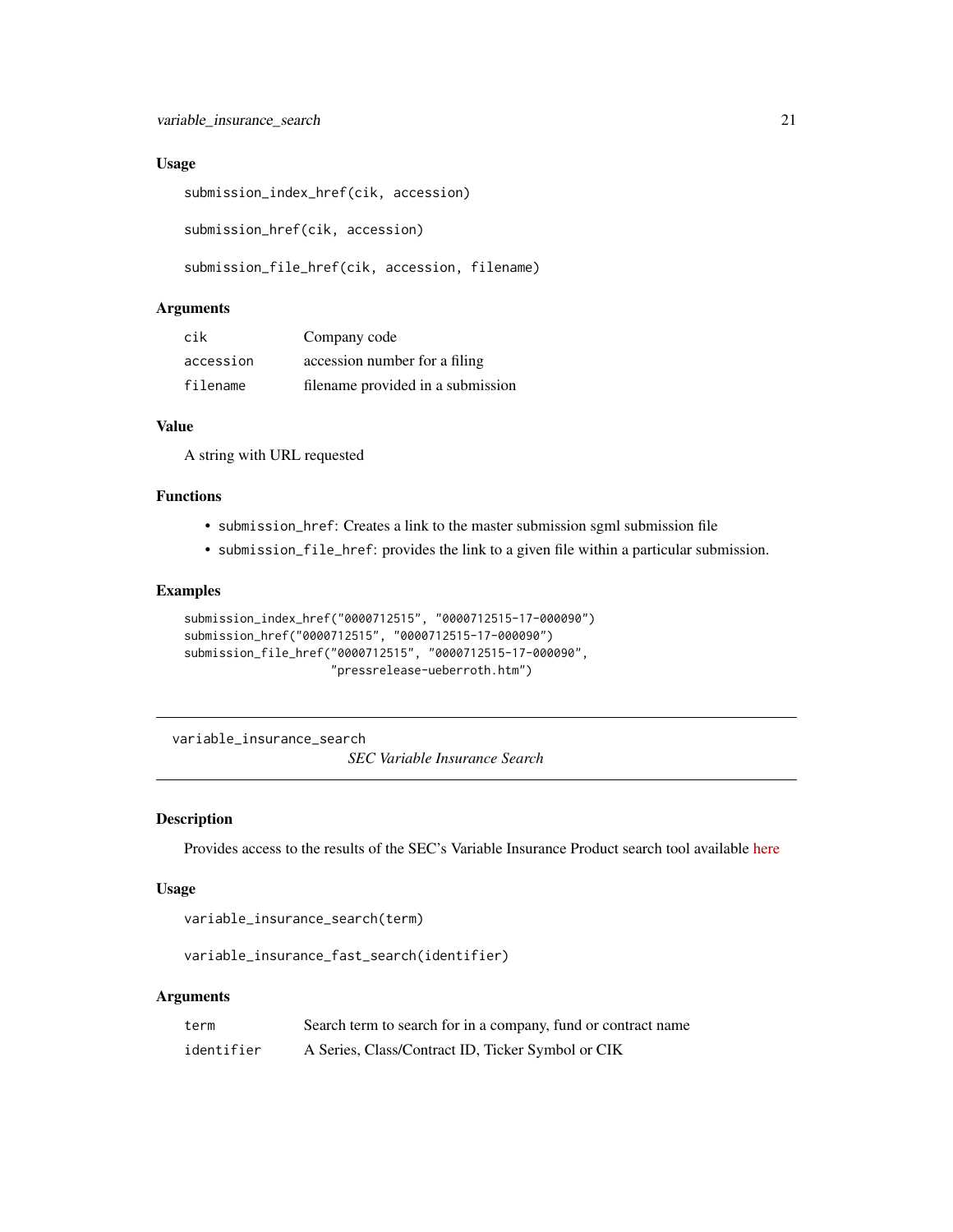#### <span id="page-20-0"></span>Usage

```
submission_index_href(cik, accession)
```
submission\_href(cik, accession)

```
submission_file_href(cik, accession, filename)
```
## Arguments

| cik       | Company code                      |
|-----------|-----------------------------------|
| accession | accession number for a filing     |
| filename  | filename provided in a submission |

#### Value

A string with URL requested

## Functions

- submission\_href: Creates a link to the master submission sgml submission file
- submission\_file\_href: provides the link to a given file within a particular submission.

## Examples

```
submission_index_href("0000712515", "0000712515-17-000090")
submission_href("0000712515", "0000712515-17-000090")
submission_file_href("0000712515", "0000712515-17-000090",
                     "pressrelease-ueberroth.htm")
```
variable\_insurance\_search

*SEC Variable Insurance Search*

## Description

Provides access to the results of the SEC's Variable Insurance Product search tool available [here](https://www.sec.gov/edgar/searchedgar/vinsurancesearch.html)

#### Usage

```
variable_insurance_search(term)
```
variable\_insurance\_fast\_search(identifier)

| term       | Search term to search for in a company, fund or contract name |
|------------|---------------------------------------------------------------|
| identifier | A Series, Class/Contract ID, Ticker Symbol or CIK             |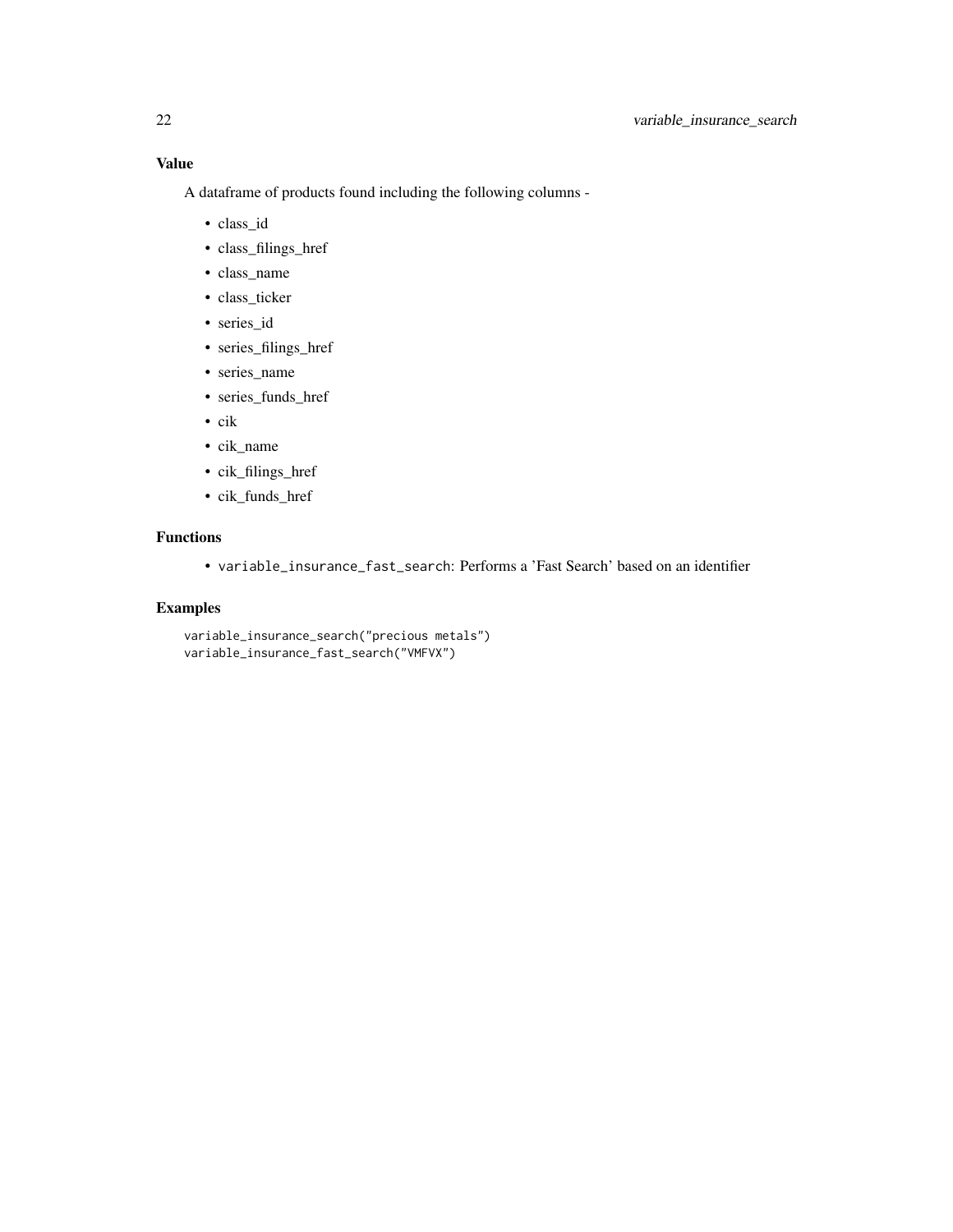A dataframe of products found including the following columns -

- class\_id
- class\_filings\_href
- class\_name
- class\_ticker
- series\_id
- series\_filings\_href
- series\_name
- series\_funds\_href
- cik
- cik\_name
- cik\_filings\_href
- cik\_funds\_href

## Functions

• variable\_insurance\_fast\_search: Performs a 'Fast Search' based on an identifier

## Examples

```
variable_insurance_search("precious metals")
variable_insurance_fast_search("VMFVX")
```